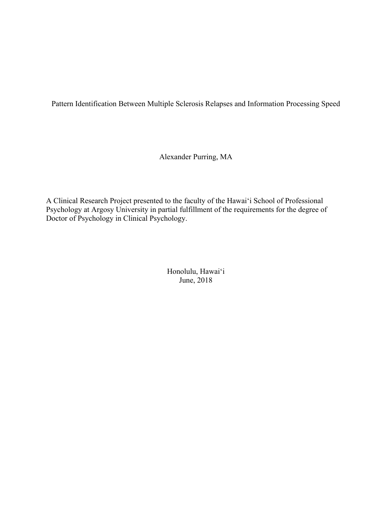Pattern Identification Between Multiple Sclerosis Relapses and Information Processing Speed

Alexander Purring, MA

A Clinical Research Project presented to the faculty of the Hawai'i School of Professional Psychology at Argosy University in partial fulfillment of the requirements for the degree of Doctor of Psychology in Clinical Psychology.

> Honolulu, Hawai'i June, 2018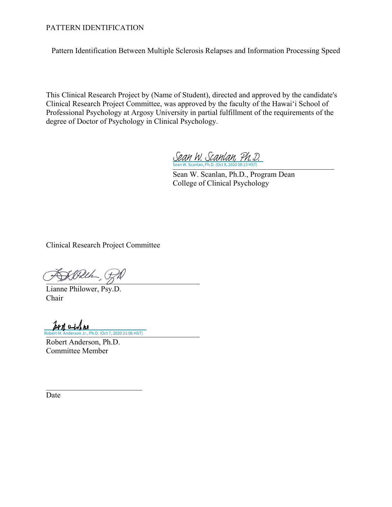Pattern Identification Between Multiple Sclerosis Relapses and Information Processing Speed

This Clinical Research Project by (Name of Student), directed and approved by the candidate's Clinical Research Project Committee, was approved by the faculty of the Hawai'i School of Professional Psychology at Argosy University in partial fulfillment of the requirements of the degree of Doctor of Psychology in Clinical Psychology.

\_\_\_\_\_\_\_\_\_\_\_\_\_\_\_\_\_\_\_\_\_\_\_\_\_\_\_\_\_\_\_\_\_\_\_\_\_\_\_\_\_\_ Sean W. Scanlan, Ph.D. (Oct 8, 2020 08:13 HST) [Sean W. Scanlan, Ph.D.](https://na2.documents.adobe.com/verifier?tx=CBJCHBCAABAAAOHjxeoX5j98IFFNFsavhBNpIEwGpDL7)

Sean W. Scanlan, Ph.D., Program Dean College of Clinical Psychology

Clinical Research Project Committee

 $\mathcal{F}\mathcal{F}\mathcal{P}\mathcal{P}$ 

Lianne Philower, Psy.D. Chair

DAN und kne Robert M. Anderson Jr., Ph.D. (Oct 7, 2020 21:06 HST)

\_\_\_\_\_\_\_\_\_\_\_\_\_\_\_\_\_\_\_\_\_\_\_\_\_

Robert Anderson, Ph.D. Committee Member

Date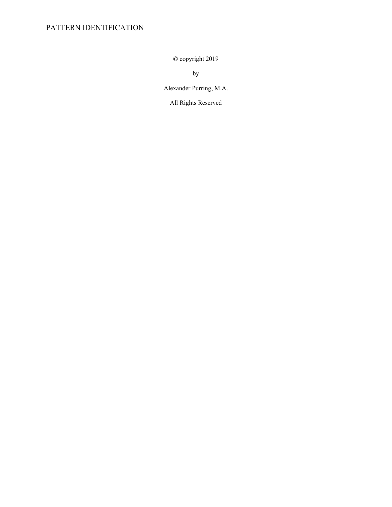© copyright 2019

by

Alexander Purring, M.A.

All Rights Reserved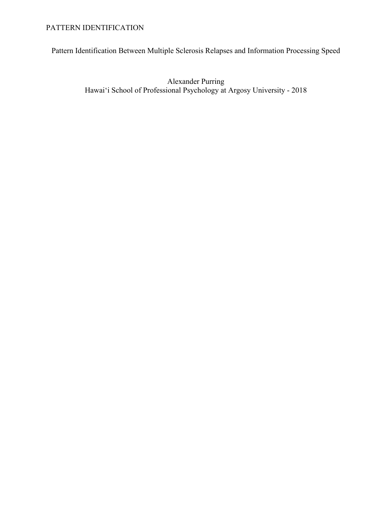Pattern Identification Between Multiple Sclerosis Relapses and Information Processing Speed

Alexander Purring Hawai'i School of Professional Psychology at Argosy University - 2018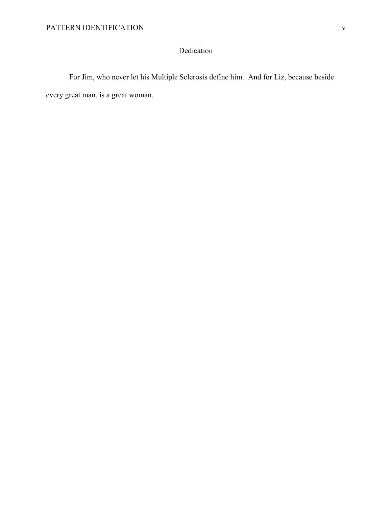# Dedication

For Jim, who never let his Multiple Sclerosis define him. And for Liz, because beside every great man, is a great woman.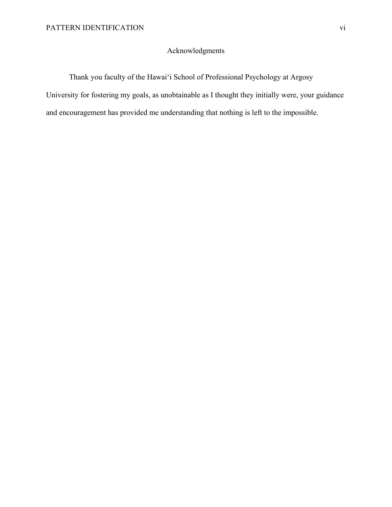## Acknowledgments

Thank you faculty of the Hawai'i School of Professional Psychology at Argosy

University for fostering my goals, as unobtainable as I thought they initially were, your guidance and encouragement has provided me understanding that nothing is left to the impossible.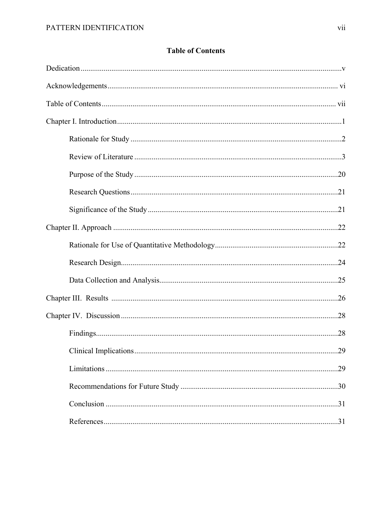# **Table of Contents**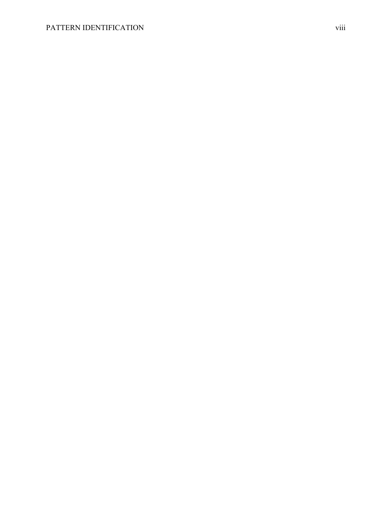# PATTERN IDENTIFICATION viii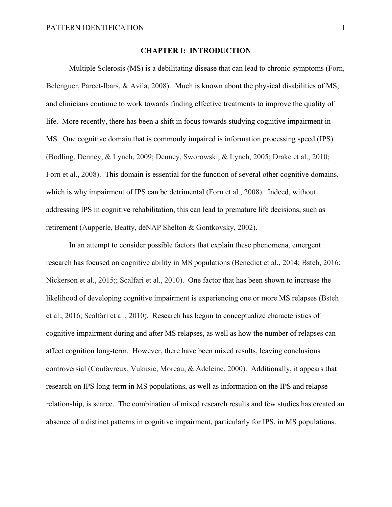#### **CHAPTER I: INTRODUCTION**

Multiple Sclerosis (MS) is a debilitating disease that can lead to chronic symptoms (Forn, Belenguer, Parcet-Ibars, & Avila, 2008). Much is known about the physical disabilities of MS, and clinicians continue to work towards finding effective treatments to improve the quality of life. More recently, there has been a shift in focus towards studying cognitive impairment in MS. One cognitive domain that is commonly impaired is information processing speed (IPS) (Bodling, Denney, & Lynch, 2009; Denney, Sworowski, & Lynch, 2005; Drake et al., 2010; Forn et al., 2008). This domain is essential for the function of several other cognitive domains, which is why impairment of IPS can be detrimental (Forn et al., 2008). Indeed, without addressing IPS in cognitive rehabilitation, this can lead to premature life decisions, such as retirement (Aupperle, Beatty, deNAP Shelton & Gontkovsky, 2002).

In an attempt to consider possible factors that explain these phenomena, emergent research has focused on cognitive ability in MS populations (Benedict et al., 2014; Bsteh, 2016; Nickerson et al., 2015;; Scalfari et al., 2010). One factor that has been shown to increase the likelihood of developing cognitive impairment is experiencing one or more MS relapses (Bsteh et al., 2016; Scalfari et al., 2010). Research has begun to conceptualize characteristics of cognitive impairment during and after MS relapses, as well as how the number of relapses can affect cognition long-term. However, there have been mixed results, leaving conclusions controversial (Confavreux, Vukusic, Moreau, & Adeleine, 2000). Additionally, it appears that research on IPS long-term in MS populations, as well as information on the IPS and relapse relationship, is scarce. The combination of mixed research results and few studies has created an absence of a distinct patterns in cognitive impairment, particularly for IPS, in MS populations.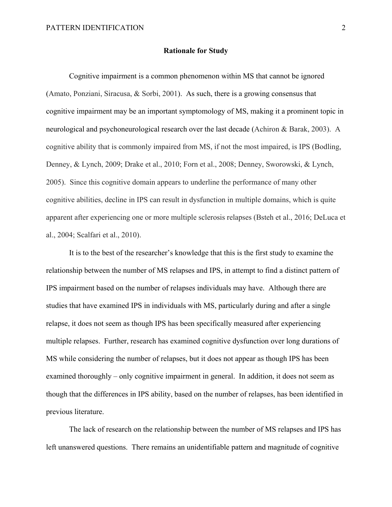#### **Rationale for Study**

Cognitive impairment is a common phenomenon within MS that cannot be ignored (Amato, Ponziani, Siracusa, & Sorbi, 2001). As such, there is a growing consensus that cognitive impairment may be an important symptomology of MS, making it a prominent topic in neurological and psychoneurological research over the last decade (Achiron & Barak, 2003). A cognitive ability that is commonly impaired from MS, if not the most impaired, is IPS (Bodling, Denney, & Lynch, 2009; Drake et al., 2010; Forn et al., 2008; Denney, Sworowski, & Lynch, 2005). Since this cognitive domain appears to underline the performance of many other cognitive abilities, decline in IPS can result in dysfunction in multiple domains, which is quite apparent after experiencing one or more multiple sclerosis relapses (Bsteh et al., 2016; DeLuca et al., 2004; Scalfari et al., 2010).

It is to the best of the researcher's knowledge that this is the first study to examine the relationship between the number of MS relapses and IPS, in attempt to find a distinct pattern of IPS impairment based on the number of relapses individuals may have. Although there are studies that have examined IPS in individuals with MS, particularly during and after a single relapse, it does not seem as though IPS has been specifically measured after experiencing multiple relapses. Further, research has examined cognitive dysfunction over long durations of MS while considering the number of relapses, but it does not appear as though IPS has been examined thoroughly – only cognitive impairment in general. In addition, it does not seem as though that the differences in IPS ability, based on the number of relapses, has been identified in previous literature.

The lack of research on the relationship between the number of MS relapses and IPS has left unanswered questions. There remains an unidentifiable pattern and magnitude of cognitive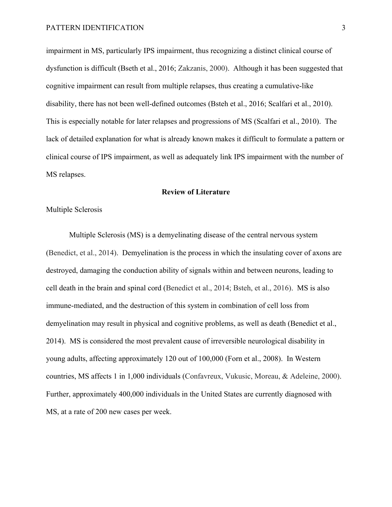impairment in MS, particularly IPS impairment, thus recognizing a distinct clinical course of dysfunction is difficult (Bseth et al., 2016; Zakzanis, 2000). Although it has been suggested that cognitive impairment can result from multiple relapses, thus creating a cumulative-like disability, there has not been well-defined outcomes (Bsteh et al., 2016; Scalfari et al., 2010). This is especially notable for later relapses and progressions of MS (Scalfari et al., 2010). The lack of detailed explanation for what is already known makes it difficult to formulate a pattern or clinical course of IPS impairment, as well as adequately link IPS impairment with the number of MS relapses.

#### **Review of Literature**

Multiple Sclerosis

Multiple Sclerosis (MS) is a demyelinating disease of the central nervous system (Benedict, et al., 2014). Demyelination is the process in which the insulating cover of axons are destroyed, damaging the conduction ability of signals within and between neurons, leading to cell death in the brain and spinal cord (Benedict et al., 2014; Bsteh, et al., 2016). MS is also immune-mediated, and the destruction of this system in combination of cell loss from demyelination may result in physical and cognitive problems, as well as death (Benedict et al., 2014). MS is considered the most prevalent cause of irreversible neurological disability in young adults, affecting approximately 120 out of 100,000 (Forn et al., 2008). In Western countries, MS affects 1 in 1,000 individuals (Confavreux, Vukusic, Moreau, & Adeleine, 2000). Further, approximately 400,000 individuals in the United States are currently diagnosed with MS, at a rate of 200 new cases per week.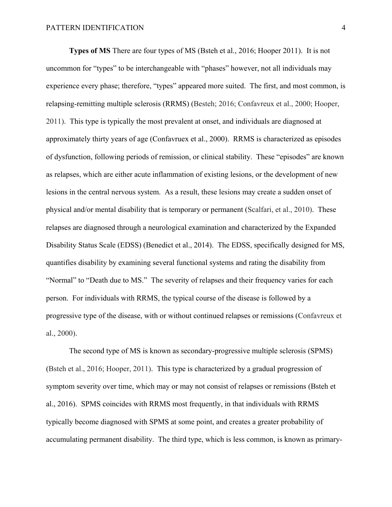**Types of MS** There are four types of MS (Bsteh et al., 2016; Hooper 2011). It is not uncommon for "types" to be interchangeable with "phases" however, not all individuals may experience every phase; therefore, "types" appeared more suited. The first, and most common, is relapsing-remitting multiple sclerosis (RRMS) (Besteh; 2016; Confavreux et al., 2000; Hooper, 2011). This type is typically the most prevalent at onset, and individuals are diagnosed at approximately thirty years of age (Confavruex et al., 2000). RRMS is characterized as episodes of dysfunction, following periods of remission, or clinical stability. These "episodes" are known as relapses, which are either acute inflammation of existing lesions, or the development of new lesions in the central nervous system. As a result, these lesions may create a sudden onset of physical and/or mental disability that is temporary or permanent (Scalfari, et al., 2010). These relapses are diagnosed through a neurological examination and characterized by the Expanded Disability Status Scale (EDSS) (Benedict et al., 2014). The EDSS, specifically designed for MS, quantifies disability by examining several functional systems and rating the disability from "Normal" to "Death due to MS." The severity of relapses and their frequency varies for each person. For individuals with RRMS, the typical course of the disease is followed by a progressive type of the disease, with or without continued relapses or remissions (Confavreux et al., 2000).

The second type of MS is known as secondary-progressive multiple sclerosis (SPMS) (Bsteh et al., 2016; Hooper, 2011). This type is characterized by a gradual progression of symptom severity over time, which may or may not consist of relapses or remissions (Bsteh et al., 2016). SPMS coincides with RRMS most frequently, in that individuals with RRMS typically become diagnosed with SPMS at some point, and creates a greater probability of accumulating permanent disability. The third type, which is less common, is known as primary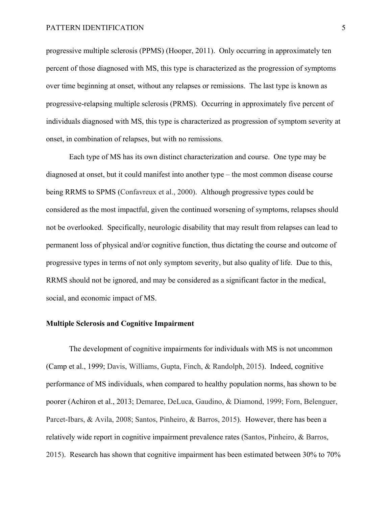progressive multiple sclerosis (PPMS) (Hooper, 2011). Only occurring in approximately ten percent of those diagnosed with MS, this type is characterized as the progression of symptoms over time beginning at onset, without any relapses or remissions. The last type is known as progressive-relapsing multiple sclerosis (PRMS). Occurring in approximately five percent of individuals diagnosed with MS, this type is characterized as progression of symptom severity at onset, in combination of relapses, but with no remissions.

Each type of MS has its own distinct characterization and course. One type may be diagnosed at onset, but it could manifest into another type – the most common disease course being RRMS to SPMS (Confavreux et al., 2000). Although progressive types could be considered as the most impactful, given the continued worsening of symptoms, relapses should not be overlooked. Specifically, neurologic disability that may result from relapses can lead to permanent loss of physical and/or cognitive function, thus dictating the course and outcome of progressive types in terms of not only symptom severity, but also quality of life. Due to this, RRMS should not be ignored, and may be considered as a significant factor in the medical, social, and economic impact of MS.

#### **Multiple Sclerosis and Cognitive Impairment**

The development of cognitive impairments for individuals with MS is not uncommon (Camp et al., 1999; Davis, Williams, Gupta, Finch, & Randolph, 2015). Indeed, cognitive performance of MS individuals, when compared to healthy population norms, has shown to be poorer (Achiron et al., 2013; Demaree, DeLuca, Gaudino, & Diamond, 1999; Forn, Belenguer, Parcet-Ibars, & Avila, 2008; Santos, Pinheiro, & Barros, 2015). However, there has been a relatively wide report in cognitive impairment prevalence rates (Santos, Pinheiro, & Barros, 2015). Research has shown that cognitive impairment has been estimated between 30% to 70%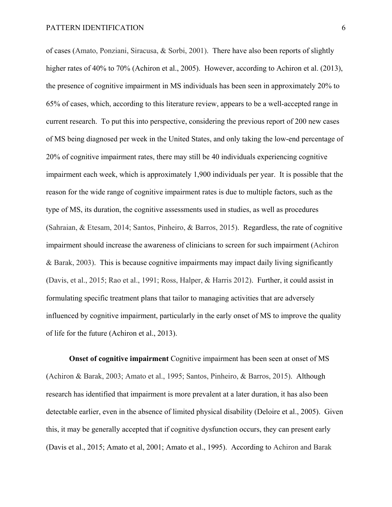of cases (Amato, Ponziani, Siracusa, & Sorbi, 2001). There have also been reports of slightly higher rates of 40% to 70% (Achiron et al., 2005). However, according to Achiron et al. (2013), the presence of cognitive impairment in MS individuals has been seen in approximately 20% to 65% of cases, which, according to this literature review, appears to be a well-accepted range in current research. To put this into perspective, considering the previous report of 200 new cases of MS being diagnosed per week in the United States, and only taking the low-end percentage of 20% of cognitive impairment rates, there may still be 40 individuals experiencing cognitive impairment each week, which is approximately 1,900 individuals per year. It is possible that the reason for the wide range of cognitive impairment rates is due to multiple factors, such as the type of MS, its duration, the cognitive assessments used in studies, as well as procedures (Sahraian, & Etesam, 2014; Santos, Pinheiro, & Barros, 2015). Regardless, the rate of cognitive impairment should increase the awareness of clinicians to screen for such impairment (Achiron & Barak, 2003). This is because cognitive impairments may impact daily living significantly (Davis, et al., 2015; Rao et al., 1991; Ross, Halper, & Harris 2012). Further, it could assist in formulating specific treatment plans that tailor to managing activities that are adversely influenced by cognitive impairment, particularly in the early onset of MS to improve the quality of life for the future (Achiron et al., 2013).

**Onset of cognitive impairment** Cognitive impairment has been seen at onset of MS (Achiron & Barak, 2003; Amato et al., 1995; Santos, Pinheiro, & Barros, 2015). Although research has identified that impairment is more prevalent at a later duration, it has also been detectable earlier, even in the absence of limited physical disability (Deloire et al., 2005). Given this, it may be generally accepted that if cognitive dysfunction occurs, they can present early (Davis et al., 2015; Amato et al, 2001; Amato et al., 1995). According to Achiron and Barak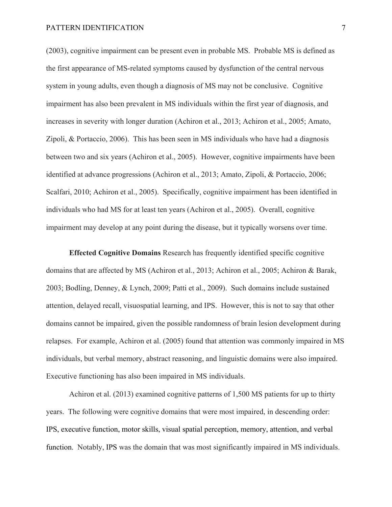(2003), cognitive impairment can be present even in probable MS. Probable MS is defined as the first appearance of MS-related symptoms caused by dysfunction of the central nervous system in young adults, even though a diagnosis of MS may not be conclusive. Cognitive impairment has also been prevalent in MS individuals within the first year of diagnosis, and increases in severity with longer duration (Achiron et al., 2013; Achiron et al., 2005; Amato, Zipoli, & Portaccio, 2006). This has been seen in MS individuals who have had a diagnosis between two and six years (Achiron et al., 2005). However, cognitive impairments have been identified at advance progressions (Achiron et al., 2013; Amato, Zipoli, & Portaccio, 2006; Scalfari, 2010; Achiron et al., 2005). Specifically, cognitive impairment has been identified in individuals who had MS for at least ten years (Achiron et al., 2005). Overall, cognitive impairment may develop at any point during the disease, but it typically worsens over time.

**Effected Cognitive Domains** Research has frequently identified specific cognitive domains that are affected by MS (Achiron et al., 2013; Achiron et al., 2005; Achiron & Barak, 2003; Bodling, Denney, & Lynch, 2009; Patti et al., 2009). Such domains include sustained attention, delayed recall, visuospatial learning, and IPS. However, this is not to say that other domains cannot be impaired, given the possible randomness of brain lesion development during relapses. For example, Achiron et al. (2005) found that attention was commonly impaired in MS individuals, but verbal memory, abstract reasoning, and linguistic domains were also impaired. Executive functioning has also been impaired in MS individuals.

Achiron et al. (2013) examined cognitive patterns of 1,500 MS patients for up to thirty years. The following were cognitive domains that were most impaired, in descending order: IPS, executive function, motor skills, visual spatial perception, memory, attention, and verbal function. Notably, IPS was the domain that was most significantly impaired in MS individuals.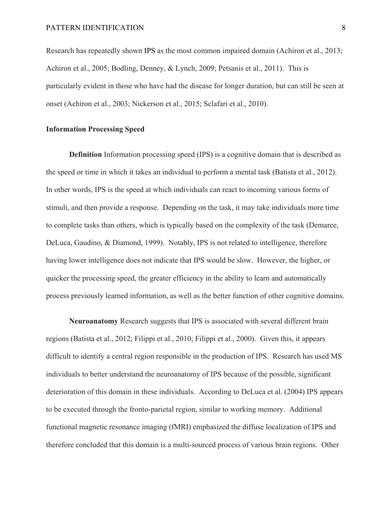Research has repeatedly shown IPS as the most common impaired domain (Achiron et al., 2013; Achiron et al., 2005; Bodling, Denney, & Lynch, 2009; Petsanis et al., 2011). This is particularly evident in those who have had the disease for longer duration, but can still be seen at onset (Achiron et al., 2003; Nickerson et al., 2015; Sclafari et al., 2010).

#### **Information Processing Speed**

**Definition** Information processing speed (IPS) is a cognitive domain that is described as the speed or time in which it takes an individual to perform a mental task (Batista et al., 2012). In other words, IPS is the speed at which individuals can react to incoming various forms of stimuli, and then provide a response. Depending on the task, it may take individuals more time to complete tasks than others, which is typically based on the complexity of the task (Demaree, DeLuca, Gaudino, & Diamond, 1999). Notably, IPS is not related to intelligence, therefore having lower intelligence does not indicate that IPS would be slow. However, the higher, or quicker the processing speed, the greater efficiency in the ability to learn and automatically process previously learned information, as well as the better function of other cognitive domains.

**Neuroanatomy** Research suggests that IPS is associated with several different brain regions (Batista et al., 2012; Filippi et al., 2010; Filippi et al., 2000). Given this, it appears difficult to identify a central region responsible in the production of IPS. Research has used MS individuals to better understand the neuroanatomy of IPS because of the possible, significant deterioration of this domain in these individuals. According to DeLuca et al. (2004) IPS appears to be executed through the fronto-parietal region, similar to working memory. Additional functional magnetic resonance imaging (fMRI) emphasized the diffuse localization of IPS and therefore concluded that this domain is a multi-sourced process of various brain regions. Other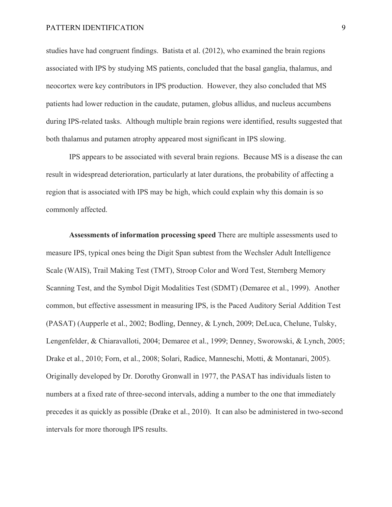studies have had congruent findings. Batista et al. (2012), who examined the brain regions associated with IPS by studying MS patients, concluded that the basal ganglia, thalamus, and neocortex were key contributors in IPS production. However, they also concluded that MS patients had lower reduction in the caudate, putamen, globus allidus, and nucleus accumbens during IPS-related tasks. Although multiple brain regions were identified, results suggested that both thalamus and putamen atrophy appeared most significant in IPS slowing.

IPS appears to be associated with several brain regions. Because MS is a disease the can result in widespread deterioration, particularly at later durations, the probability of affecting a region that is associated with IPS may be high, which could explain why this domain is so commonly affected.

**Assessments of information processing speed** There are multiple assessments used to measure IPS, typical ones being the Digit Span subtest from the Wechsler Adult Intelligence Scale (WAIS), Trail Making Test (TMT), Stroop Color and Word Test, Sternberg Memory Scanning Test, and the Symbol Digit Modalities Test (SDMT) (Demaree et al., 1999). Another common, but effective assessment in measuring IPS, is the Paced Auditory Serial Addition Test (PASAT) (Aupperle et al., 2002; Bodling, Denney, & Lynch, 2009; DeLuca, Chelune, Tulsky, Lengenfelder, & Chiaravalloti, 2004; Demaree et al., 1999; Denney, Sworowski, & Lynch, 2005; Drake et al., 2010; Forn, et al., 2008; Solari, Radice, Manneschi, Motti, & Montanari, 2005). Originally developed by Dr. Dorothy Gronwall in 1977, the PASAT has individuals listen to numbers at a fixed rate of three-second intervals, adding a number to the one that immediately precedes it as quickly as possible (Drake et al., 2010). It can also be administered in two-second intervals for more thorough IPS results.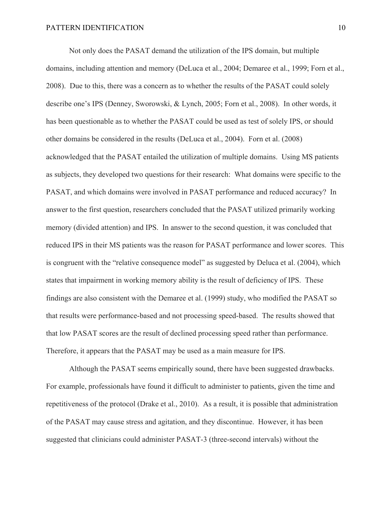Not only does the PASAT demand the utilization of the IPS domain, but multiple domains, including attention and memory (DeLuca et al., 2004; Demaree et al., 1999; Forn et al., 2008). Due to this, there was a concern as to whether the results of the PASAT could solely describe one's IPS (Denney, Sworowski, & Lynch, 2005; Forn et al., 2008). In other words, it has been questionable as to whether the PASAT could be used as test of solely IPS, or should other domains be considered in the results (DeLuca et al., 2004). Forn et al. (2008) acknowledged that the PASAT entailed the utilization of multiple domains. Using MS patients as subjects, they developed two questions for their research: What domains were specific to the PASAT, and which domains were involved in PASAT performance and reduced accuracy? In answer to the first question, researchers concluded that the PASAT utilized primarily working memory (divided attention) and IPS. In answer to the second question, it was concluded that reduced IPS in their MS patients was the reason for PASAT performance and lower scores. This is congruent with the "relative consequence model" as suggested by Deluca et al. (2004), which states that impairment in working memory ability is the result of deficiency of IPS. These findings are also consistent with the Demaree et al. (1999) study, who modified the PASAT so that results were performance-based and not processing speed-based. The results showed that that low PASAT scores are the result of declined processing speed rather than performance. Therefore, it appears that the PASAT may be used as a main measure for IPS.

Although the PASAT seems empirically sound, there have been suggested drawbacks. For example, professionals have found it difficult to administer to patients, given the time and repetitiveness of the protocol (Drake et al., 2010). As a result, it is possible that administration of the PASAT may cause stress and agitation, and they discontinue. However, it has been suggested that clinicians could administer PASAT-3 (three-second intervals) without the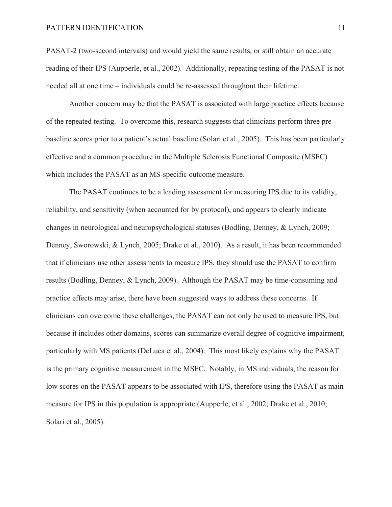PASAT-2 (two-second intervals) and would yield the same results, or still obtain an accurate reading of their IPS (Aupperle, et al., 2002). Additionally, repeating testing of the PASAT is not needed all at one time – individuals could be re-assessed throughout their lifetime.

Another concern may be that the PASAT is associated with large practice effects because of the repeated testing. To overcome this, research suggests that clinicians perform three prebaseline scores prior to a patient's actual baseline (Solari et al., 2005). This has been particularly effective and a common procedure in the Multiple Sclerosis Functional Composite (MSFC) which includes the PASAT as an MS-specific outcome measure.

The PASAT continues to be a leading assessment for measuring IPS due to its validity, reliability, and sensitivity (when accounted for by protocol), and appears to clearly indicate changes in neurological and neuropsychological statuses (Bodling, Denney, & Lynch, 2009; Denney, Sworowski, & Lynch, 2005; Drake et al., 2010). As a result, it has been recommended that if clinicians use other assessments to measure IPS, they should use the PASAT to confirm results (Bodling, Denney, & Lynch, 2009). Although the PASAT may be time-consuming and practice effects may arise, there have been suggested ways to address these concerns. If clinicians can overcome these challenges, the PASAT can not only be used to measure IPS, but because it includes other domains, scores can summarize overall degree of cognitive impairment, particularly with MS patients (DeLuca et al., 2004). This most likely explains why the PASAT is the primary cognitive measurement in the MSFC. Notably, in MS individuals, the reason for low scores on the PASAT appears to be associated with IPS, therefore using the PASAT as main measure for IPS in this population is appropriate (Aupperle, et al., 2002; Drake et al., 2010; Solari et al., 2005).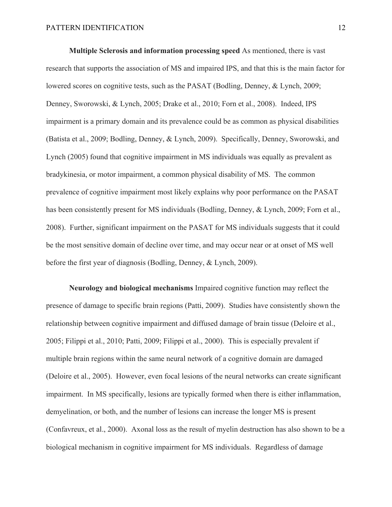**Multiple Sclerosis and information processing speed** As mentioned, there is vast research that supports the association of MS and impaired IPS, and that this is the main factor for lowered scores on cognitive tests, such as the PASAT (Bodling, Denney, & Lynch, 2009; Denney, Sworowski, & Lynch, 2005; Drake et al., 2010; Forn et al., 2008). Indeed, IPS impairment is a primary domain and its prevalence could be as common as physical disabilities (Batista et al., 2009; Bodling, Denney, & Lynch, 2009). Specifically, Denney, Sworowski, and Lynch (2005) found that cognitive impairment in MS individuals was equally as prevalent as bradykinesia, or motor impairment, a common physical disability of MS. The common prevalence of cognitive impairment most likely explains why poor performance on the PASAT has been consistently present for MS individuals (Bodling, Denney, & Lynch, 2009; Forn et al., 2008). Further, significant impairment on the PASAT for MS individuals suggests that it could be the most sensitive domain of decline over time, and may occur near or at onset of MS well before the first year of diagnosis (Bodling, Denney, & Lynch, 2009).

**Neurology and biological mechanisms** Impaired cognitive function may reflect the presence of damage to specific brain regions (Patti, 2009). Studies have consistently shown the relationship between cognitive impairment and diffused damage of brain tissue (Deloire et al., 2005; Filippi et al., 2010; Patti, 2009; Filippi et al., 2000). This is especially prevalent if multiple brain regions within the same neural network of a cognitive domain are damaged (Deloire et al., 2005). However, even focal lesions of the neural networks can create significant impairment. In MS specifically, lesions are typically formed when there is either inflammation, demyelination, or both, and the number of lesions can increase the longer MS is present (Confavreux, et al., 2000). Axonal loss as the result of myelin destruction has also shown to be a biological mechanism in cognitive impairment for MS individuals. Regardless of damage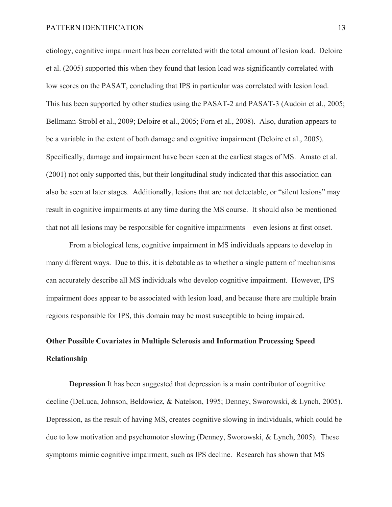etiology, cognitive impairment has been correlated with the total amount of lesion load. Deloire et al. (2005) supported this when they found that lesion load was significantly correlated with low scores on the PASAT, concluding that IPS in particular was correlated with lesion load. This has been supported by other studies using the PASAT-2 and PASAT-3 (Audoin et al., 2005; Bellmann-Strobl et al., 2009; Deloire et al., 2005; Forn et al., 2008). Also, duration appears to be a variable in the extent of both damage and cognitive impairment (Deloire et al., 2005). Specifically, damage and impairment have been seen at the earliest stages of MS. Amato et al. (2001) not only supported this, but their longitudinal study indicated that this association can also be seen at later stages. Additionally, lesions that are not detectable, or "silent lesions" may result in cognitive impairments at any time during the MS course. It should also be mentioned that not all lesions may be responsible for cognitive impairments – even lesions at first onset.

From a biological lens, cognitive impairment in MS individuals appears to develop in many different ways. Due to this, it is debatable as to whether a single pattern of mechanisms can accurately describe all MS individuals who develop cognitive impairment. However, IPS impairment does appear to be associated with lesion load, and because there are multiple brain regions responsible for IPS, this domain may be most susceptible to being impaired.

# **Other Possible Covariates in Multiple Sclerosis and Information Processing Speed Relationship**

**Depression** It has been suggested that depression is a main contributor of cognitive decline (DeLuca, Johnson, Beldowicz, & Natelson, 1995; Denney, Sworowski, & Lynch, 2005). Depression, as the result of having MS, creates cognitive slowing in individuals, which could be due to low motivation and psychomotor slowing (Denney, Sworowski, & Lynch, 2005). These symptoms mimic cognitive impairment, such as IPS decline. Research has shown that MS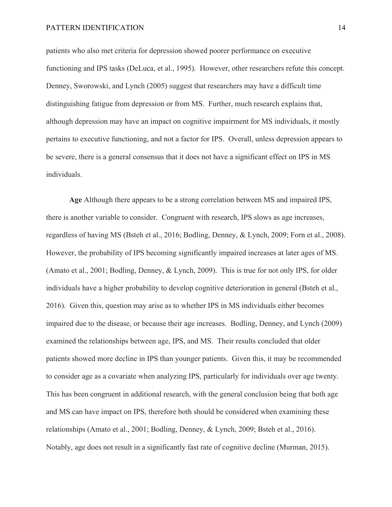patients who also met criteria for depression showed poorer performance on executive functioning and IPS tasks (DeLuca, et al., 1995). However, other researchers refute this concept. Denney, Sworowski, and Lynch (2005) suggest that researchers may have a difficult time distinguishing fatigue from depression or from MS. Further, much research explains that, although depression may have an impact on cognitive impairment for MS individuals, it mostly pertains to executive functioning, and not a factor for IPS. Overall, unless depression appears to be severe, there is a general consensus that it does not have a significant effect on IPS in MS individuals.

**Age** Although there appears to be a strong correlation between MS and impaired IPS, there is another variable to consider. Congruent with research, IPS slows as age increases, regardless of having MS (Bsteh et al., 2016; Bodling, Denney, & Lynch, 2009; Forn et al., 2008). However, the probability of IPS becoming significantly impaired increases at later ages of MS. (Amato et al., 2001; Bodling, Denney, & Lynch, 2009). This is true for not only IPS, for older individuals have a higher probability to develop cognitive deterioration in general (Bsteh et al., 2016). Given this, question may arise as to whether IPS in MS individuals either becomes impaired due to the disease, or because their age increases. Bodling, Denney, and Lynch (2009) examined the relationships between age, IPS, and MS. Their results concluded that older patients showed more decline in IPS than younger patients. Given this, it may be recommended to consider age as a covariate when analyzing IPS, particularly for individuals over age twenty. This has been congruent in additional research, with the general conclusion being that both age and MS can have impact on IPS, therefore both should be considered when examining these relationships (Amato et al., 2001; Bodling, Denney, & Lynch, 2009; Bsteh et al., 2016). Notably, age does not result in a significantly fast rate of cognitive decline (Murman, 2015).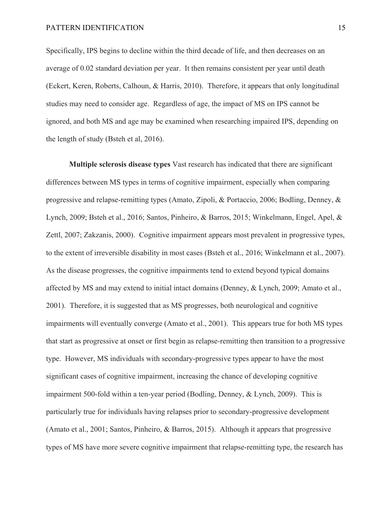Specifically, IPS begins to decline within the third decade of life, and then decreases on an average of 0.02 standard deviation per year. It then remains consistent per year until death (Eckert, Keren, Roberts, Calhoun, & Harris, 2010). Therefore, it appears that only longitudinal studies may need to consider age. Regardless of age, the impact of MS on IPS cannot be ignored, and both MS and age may be examined when researching impaired IPS, depending on the length of study (Bsteh et al, 2016).

**Multiple sclerosis disease types** Vast research has indicated that there are significant differences between MS types in terms of cognitive impairment, especially when comparing progressive and relapse-remitting types (Amato, Zipoli, & Portaccio, 2006; Bodling, Denney, & Lynch, 2009; Bsteh et al., 2016; Santos, Pinheiro, & Barros, 2015; Winkelmann, Engel, Apel, & Zettl, 2007; Zakzanis, 2000). Cognitive impairment appears most prevalent in progressive types, to the extent of irreversible disability in most cases (Bsteh et al., 2016; Winkelmann et al., 2007). As the disease progresses, the cognitive impairments tend to extend beyond typical domains affected by MS and may extend to initial intact domains (Denney, & Lynch, 2009; Amato et al., 2001). Therefore, it is suggested that as MS progresses, both neurological and cognitive impairments will eventually converge (Amato et al., 2001). This appears true for both MS types that start as progressive at onset or first begin as relapse-remitting then transition to a progressive type. However, MS individuals with secondary-progressive types appear to have the most significant cases of cognitive impairment, increasing the chance of developing cognitive impairment 500-fold within a ten-year period (Bodling, Denney, & Lynch, 2009). This is particularly true for individuals having relapses prior to secondary-progressive development (Amato et al., 2001; Santos, Pinheiro, & Barros, 2015). Although it appears that progressive types of MS have more severe cognitive impairment that relapse-remitting type, the research has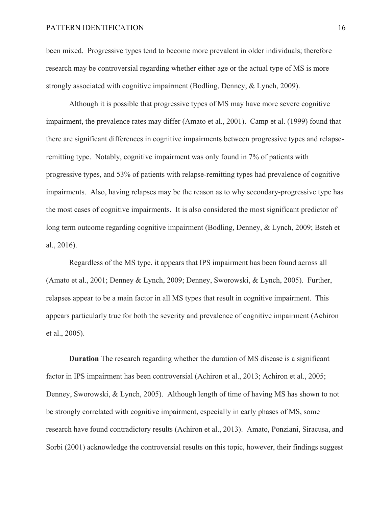been mixed. Progressive types tend to become more prevalent in older individuals; therefore research may be controversial regarding whether either age or the actual type of MS is more strongly associated with cognitive impairment (Bodling, Denney, & Lynch, 2009).

Although it is possible that progressive types of MS may have more severe cognitive impairment, the prevalence rates may differ (Amato et al., 2001). Camp et al. (1999) found that there are significant differences in cognitive impairments between progressive types and relapseremitting type. Notably, cognitive impairment was only found in 7% of patients with progressive types, and 53% of patients with relapse-remitting types had prevalence of cognitive impairments. Also, having relapses may be the reason as to why secondary-progressive type has the most cases of cognitive impairments. It is also considered the most significant predictor of long term outcome regarding cognitive impairment (Bodling, Denney, & Lynch, 2009; Bsteh et al., 2016).

Regardless of the MS type, it appears that IPS impairment has been found across all (Amato et al., 2001; Denney & Lynch, 2009; Denney, Sworowski, & Lynch, 2005). Further, relapses appear to be a main factor in all MS types that result in cognitive impairment. This appears particularly true for both the severity and prevalence of cognitive impairment (Achiron et al., 2005).

**Duration** The research regarding whether the duration of MS disease is a significant factor in IPS impairment has been controversial (Achiron et al., 2013; Achiron et al., 2005; Denney, Sworowski, & Lynch, 2005). Although length of time of having MS has shown to not be strongly correlated with cognitive impairment, especially in early phases of MS, some research have found contradictory results (Achiron et al., 2013). Amato, Ponziani, Siracusa, and Sorbi (2001) acknowledge the controversial results on this topic, however, their findings suggest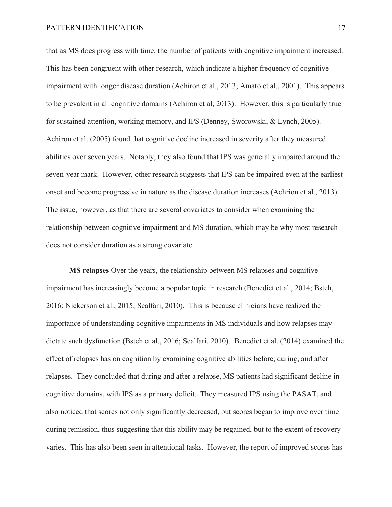that as MS does progress with time, the number of patients with cognitive impairment increased. This has been congruent with other research, which indicate a higher frequency of cognitive impairment with longer disease duration (Achiron et al., 2013; Amato et al., 2001). This appears to be prevalent in all cognitive domains (Achiron et al, 2013). However, this is particularly true for sustained attention, working memory, and IPS (Denney, Sworowski, & Lynch, 2005). Achiron et al. (2005) found that cognitive decline increased in severity after they measured abilities over seven years. Notably, they also found that IPS was generally impaired around the seven-year mark. However, other research suggests that IPS can be impaired even at the earliest onset and become progressive in nature as the disease duration increases (Achrion et al., 2013). The issue, however, as that there are several covariates to consider when examining the relationship between cognitive impairment and MS duration, which may be why most research does not consider duration as a strong covariate.

**MS relapses** Over the years, the relationship between MS relapses and cognitive impairment has increasingly become a popular topic in research (Benedict et al., 2014; Bsteh, 2016; Nickerson et al., 2015; Scalfari, 2010). This is because clinicians have realized the importance of understanding cognitive impairments in MS individuals and how relapses may dictate such dysfunction (Bsteh et al., 2016; Scalfari, 2010). Benedict et al. (2014) examined the effect of relapses has on cognition by examining cognitive abilities before, during, and after relapses. They concluded that during and after a relapse, MS patients had significant decline in cognitive domains, with IPS as a primary deficit. They measured IPS using the PASAT, and also noticed that scores not only significantly decreased, but scores began to improve over time during remission, thus suggesting that this ability may be regained, but to the extent of recovery varies. This has also been seen in attentional tasks. However, the report of improved scores has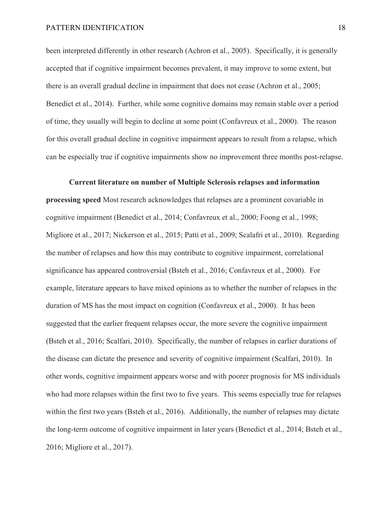been interpreted differently in other research (Achron et al., 2005). Specifically, it is generally accepted that if cognitive impairment becomes prevalent, it may improve to some extent, but there is an overall gradual decline in impairment that does not cease (Achron et al., 2005; Benedict et al., 2014). Further, while some cognitive domains may remain stable over a period of time, they usually will begin to decline at some point (Confavreux et al., 2000). The reason for this overall gradual decline in cognitive impairment appears to result from a relapse, which can be especially true if cognitive impairments show no improvement three months post-relapse.

#### **Current literature on number of Multiple Sclerosis relapses and information**

**processing speed** Most research acknowledges that relapses are a prominent covariable in cognitive impairment (Benedict et al., 2014; Confavreux et al., 2000; Foong et al., 1998; Migliore et al., 2017; Nickerson et al., 2015; Patti et al., 2009; Scalafri et al., 2010). Regarding the number of relapses and how this may contribute to cognitive impairment, correlational significance has appeared controversial (Bsteh et al., 2016; Confavreux et al., 2000). For example, literature appears to have mixed opinions as to whether the number of relapses in the duration of MS has the most impact on cognition (Confavreux et al., 2000). It has been suggested that the earlier frequent relapses occur, the more severe the cognitive impairment (Bsteh et al., 2016; Scalfari, 2010). Specifically, the number of relapses in earlier durations of the disease can dictate the presence and severity of cognitive impairment (Scalfari, 2010). In other words, cognitive impairment appears worse and with poorer prognosis for MS individuals who had more relapses within the first two to five years. This seems especially true for relapses within the first two years (Bsteh et al., 2016). Additionally, the number of relapses may dictate the long-term outcome of cognitive impairment in later years (Benedict et al., 2014; Bsteh et al., 2016; Migliore et al., 2017).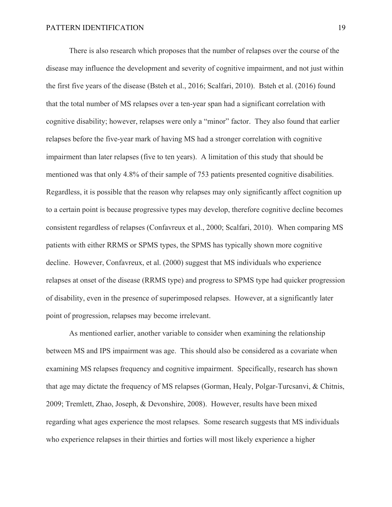There is also research which proposes that the number of relapses over the course of the disease may influence the development and severity of cognitive impairment, and not just within the first five years of the disease (Bsteh et al., 2016; Scalfari, 2010). Bsteh et al. (2016) found that the total number of MS relapses over a ten-year span had a significant correlation with cognitive disability; however, relapses were only a "minor" factor. They also found that earlier relapses before the five-year mark of having MS had a stronger correlation with cognitive impairment than later relapses (five to ten years). A limitation of this study that should be mentioned was that only 4.8% of their sample of 753 patients presented cognitive disabilities. Regardless, it is possible that the reason why relapses may only significantly affect cognition up to a certain point is because progressive types may develop, therefore cognitive decline becomes consistent regardless of relapses (Confavreux et al., 2000; Scalfari, 2010). When comparing MS patients with either RRMS or SPMS types, the SPMS has typically shown more cognitive decline. However, Confavreux, et al. (2000) suggest that MS individuals who experience relapses at onset of the disease (RRMS type) and progress to SPMS type had quicker progression of disability, even in the presence of superimposed relapses. However, at a significantly later point of progression, relapses may become irrelevant.

As mentioned earlier, another variable to consider when examining the relationship between MS and IPS impairment was age. This should also be considered as a covariate when examining MS relapses frequency and cognitive impairment. Specifically, research has shown that age may dictate the frequency of MS relapses (Gorman, Healy, Polgar-Turcsanvi, & Chitnis, 2009; Tremlett, Zhao, Joseph, & Devonshire, 2008). However, results have been mixed regarding what ages experience the most relapses. Some research suggests that MS individuals who experience relapses in their thirties and forties will most likely experience a higher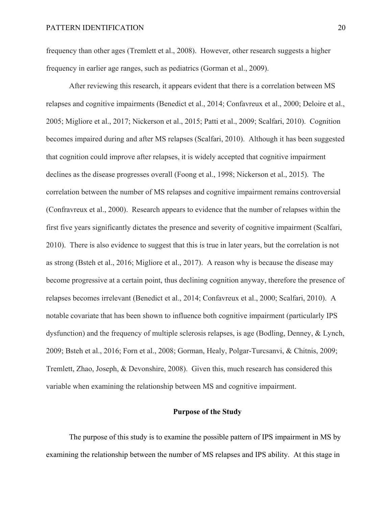frequency than other ages (Tremlett et al., 2008). However, other research suggests a higher frequency in earlier age ranges, such as pediatrics (Gorman et al., 2009).

After reviewing this research, it appears evident that there is a correlation between MS relapses and cognitive impairments (Benedict et al., 2014; Confavreux et al., 2000; Deloire et al., 2005; Migliore et al., 2017; Nickerson et al., 2015; Patti et al., 2009; Scalfari, 2010). Cognition becomes impaired during and after MS relapses (Scalfari, 2010). Although it has been suggested that cognition could improve after relapses, it is widely accepted that cognitive impairment declines as the disease progresses overall (Foong et al., 1998; Nickerson et al., 2015). The correlation between the number of MS relapses and cognitive impairment remains controversial (Confravreux et al., 2000). Research appears to evidence that the number of relapses within the first five years significantly dictates the presence and severity of cognitive impairment (Scalfari, 2010). There is also evidence to suggest that this is true in later years, but the correlation is not as strong (Bsteh et al., 2016; Migliore et al., 2017). A reason why is because the disease may become progressive at a certain point, thus declining cognition anyway, therefore the presence of relapses becomes irrelevant (Benedict et al., 2014; Confavreux et al., 2000; Scalfari, 2010). A notable covariate that has been shown to influence both cognitive impairment (particularly IPS dysfunction) and the frequency of multiple sclerosis relapses, is age (Bodling, Denney, & Lynch, 2009; Bsteh et al., 2016; Forn et al., 2008; Gorman, Healy, Polgar-Turcsanvi, & Chitnis, 2009; Tremlett, Zhao, Joseph, & Devonshire, 2008). Given this, much research has considered this variable when examining the relationship between MS and cognitive impairment.

#### **Purpose of the Study**

The purpose of this study is to examine the possible pattern of IPS impairment in MS by examining the relationship between the number of MS relapses and IPS ability. At this stage in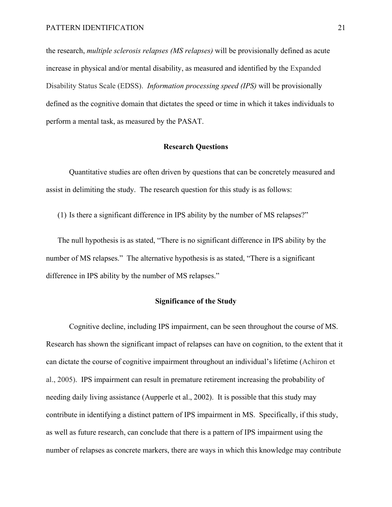the research, *multiple sclerosis relapses (MS relapses)* will be provisionally defined as acute increase in physical and/or mental disability, as measured and identified by the Expanded Disability Status Scale (EDSS). *Information processing speed (IPS)* will be provisionally defined as the cognitive domain that dictates the speed or time in which it takes individuals to perform a mental task, as measured by the PASAT.

#### **Research Questions**

Quantitative studies are often driven by questions that can be concretely measured and assist in delimiting the study. The research question for this study is as follows:

(1) Is there a significant difference in IPS ability by the number of MS relapses?"

The null hypothesis is as stated, "There is no significant difference in IPS ability by the number of MS relapses." The alternative hypothesis is as stated, "There is a significant difference in IPS ability by the number of MS relapses."

#### **Significance of the Study**

Cognitive decline, including IPS impairment, can be seen throughout the course of MS. Research has shown the significant impact of relapses can have on cognition, to the extent that it can dictate the course of cognitive impairment throughout an individual's lifetime (Achiron et al., 2005). IPS impairment can result in premature retirement increasing the probability of needing daily living assistance (Aupperle et al., 2002). It is possible that this study may contribute in identifying a distinct pattern of IPS impairment in MS. Specifically, if this study, as well as future research, can conclude that there is a pattern of IPS impairment using the number of relapses as concrete markers, there are ways in which this knowledge may contribute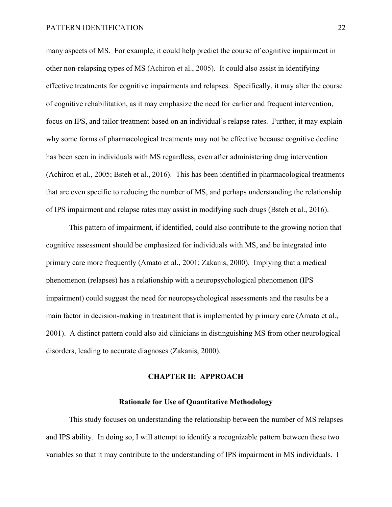many aspects of MS. For example, it could help predict the course of cognitive impairment in other non-relapsing types of MS (Achiron et al., 2005). It could also assist in identifying effective treatments for cognitive impairments and relapses. Specifically, it may alter the course of cognitive rehabilitation, as it may emphasize the need for earlier and frequent intervention, focus on IPS, and tailor treatment based on an individual's relapse rates. Further, it may explain why some forms of pharmacological treatments may not be effective because cognitive decline has been seen in individuals with MS regardless, even after administering drug intervention (Achiron et al., 2005; Bsteh et al., 2016). This has been identified in pharmacological treatments that are even specific to reducing the number of MS, and perhaps understanding the relationship of IPS impairment and relapse rates may assist in modifying such drugs (Bsteh et al., 2016).

This pattern of impairment, if identified, could also contribute to the growing notion that cognitive assessment should be emphasized for individuals with MS, and be integrated into primary care more frequently (Amato et al., 2001; Zakanis, 2000). Implying that a medical phenomenon (relapses) has a relationship with a neuropsychological phenomenon (IPS impairment) could suggest the need for neuropsychological assessments and the results be a main factor in decision-making in treatment that is implemented by primary care (Amato et al., 2001). A distinct pattern could also aid clinicians in distinguishing MS from other neurological disorders, leading to accurate diagnoses (Zakanis, 2000).

#### **CHAPTER II: APPROACH**

#### **Rationale for Use of Quantitative Methodology**

This study focuses on understanding the relationship between the number of MS relapses and IPS ability. In doing so, I will attempt to identify a recognizable pattern between these two variables so that it may contribute to the understanding of IPS impairment in MS individuals. I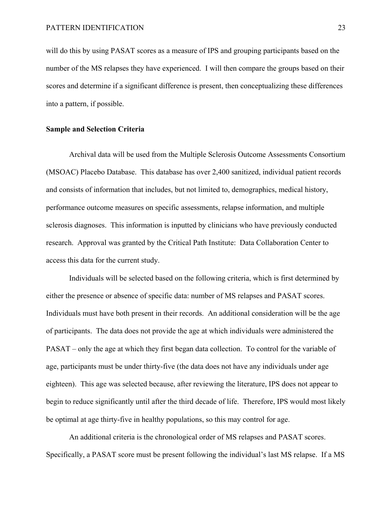will do this by using PASAT scores as a measure of IPS and grouping participants based on the number of the MS relapses they have experienced. I will then compare the groups based on their scores and determine if a significant difference is present, then conceptualizing these differences into a pattern, if possible.

#### **Sample and Selection Criteria**

Archival data will be used from the Multiple Sclerosis Outcome Assessments Consortium (MSOAC) Placebo Database. This database has over 2,400 sanitized, individual patient records and consists of information that includes, but not limited to, demographics, medical history, performance outcome measures on specific assessments, relapse information, and multiple sclerosis diagnoses. This information is inputted by clinicians who have previously conducted research. Approval was granted by the Critical Path Institute: Data Collaboration Center to access this data for the current study.

Individuals will be selected based on the following criteria, which is first determined by either the presence or absence of specific data: number of MS relapses and PASAT scores. Individuals must have both present in their records. An additional consideration will be the age of participants. The data does not provide the age at which individuals were administered the PASAT – only the age at which they first began data collection. To control for the variable of age, participants must be under thirty-five (the data does not have any individuals under age eighteen). This age was selected because, after reviewing the literature, IPS does not appear to begin to reduce significantly until after the third decade of life. Therefore, IPS would most likely be optimal at age thirty-five in healthy populations, so this may control for age.

An additional criteria is the chronological order of MS relapses and PASAT scores. Specifically, a PASAT score must be present following the individual's last MS relapse. If a MS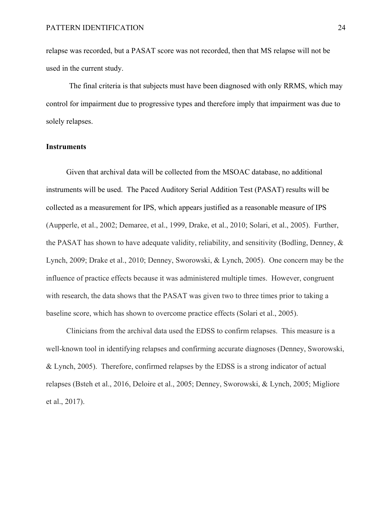relapse was recorded, but a PASAT score was not recorded, then that MS relapse will not be used in the current study.

The final criteria is that subjects must have been diagnosed with only RRMS, which may control for impairment due to progressive types and therefore imply that impairment was due to solely relapses.

#### **Instruments**

Given that archival data will be collected from the MSOAC database, no additional instruments will be used. The Paced Auditory Serial Addition Test (PASAT) results will be collected as a measurement for IPS, which appears justified as a reasonable measure of IPS (Aupperle, et al., 2002; Demaree, et al., 1999, Drake, et al., 2010; Solari, et al., 2005). Further, the PASAT has shown to have adequate validity, reliability, and sensitivity (Bodling, Denney, & Lynch, 2009; Drake et al., 2010; Denney, Sworowski, & Lynch, 2005). One concern may be the influence of practice effects because it was administered multiple times. However, congruent with research, the data shows that the PASAT was given two to three times prior to taking a baseline score, which has shown to overcome practice effects (Solari et al., 2005).

Clinicians from the archival data used the EDSS to confirm relapses. This measure is a well-known tool in identifying relapses and confirming accurate diagnoses (Denney, Sworowski, & Lynch, 2005). Therefore, confirmed relapses by the EDSS is a strong indicator of actual relapses (Bsteh et al., 2016, Deloire et al., 2005; Denney, Sworowski, & Lynch, 2005; Migliore et al., 2017).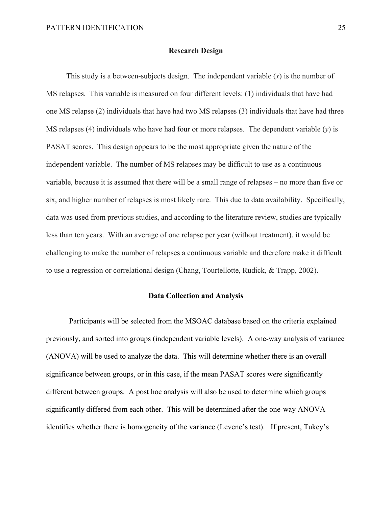#### **Research Design**

This study is a between-subjects design. The independent variable (*x*) is the number of MS relapses. This variable is measured on four different levels: (1) individuals that have had one MS relapse (2) individuals that have had two MS relapses (3) individuals that have had three MS relapses (4) individuals who have had four or more relapses. The dependent variable  $(y)$  is PASAT scores. This design appears to be the most appropriate given the nature of the independent variable. The number of MS relapses may be difficult to use as a continuous variable, because it is assumed that there will be a small range of relapses – no more than five or six, and higher number of relapses is most likely rare. This due to data availability. Specifically, data was used from previous studies, and according to the literature review, studies are typically less than ten years. With an average of one relapse per year (without treatment), it would be challenging to make the number of relapses a continuous variable and therefore make it difficult to use a regression or correlational design (Chang, Tourtellotte, Rudick, & Trapp, 2002).

#### **Data Collection and Analysis**

Participants will be selected from the MSOAC database based on the criteria explained previously, and sorted into groups (independent variable levels). A one-way analysis of variance (ANOVA) will be used to analyze the data. This will determine whether there is an overall significance between groups, or in this case, if the mean PASAT scores were significantly different between groups. A post hoc analysis will also be used to determine which groups significantly differed from each other. This will be determined after the one-way ANOVA identifies whether there is homogeneity of the variance (Levene's test). If present, Tukey's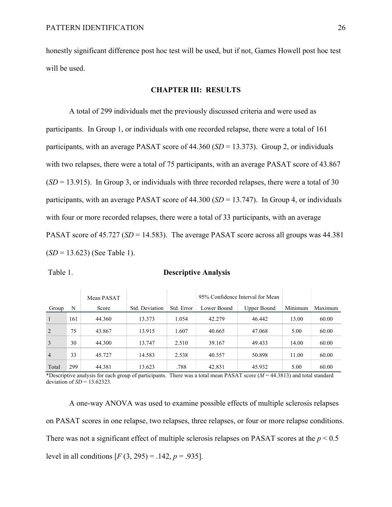honestly significant difference post hoc test will be used, but if not, Games Howell post hoc test will be used.

#### **CHAPTER III: RESULTS**

A total of 299 individuals met the previously discussed criteria and were used as participants. In Group 1, or individuals with one recorded relapse, there were a total of 161 participants, with an average PASAT score of 44.360 (*SD* = 13.373). Group 2, or individuals with two relapses, there were a total of 75 participants, with an average PASAT score of 43.867 (*SD* = 13.915). In Group 3, or individuals with three recorded relapses, there were a total of 30 participants, with an average PASAT score of 44.300 (*SD* = 13.747). In Group 4, or individuals with four or more recorded relapses, there were a total of 33 participants, with an average PASAT score of 45.727 (*SD* = 14.583). The average PASAT score across all groups was 44.381 (*SD* = 13.623) (See Table 1).

#### **Table 1. In the 1. In the 1. In the 1. In the 1. In the 1. In the 1. In the 1. In the 1. In the 1. In the 1. In the 1. In the 1. In the 1. In the 1. In the 1. In the 1. In the 1. In the 1. In the 1. In the 1. In the 1. In**

|                |     | Mean PASAT |                |            | 95% Confidence Interval for Mean |             |         |         |
|----------------|-----|------------|----------------|------------|----------------------------------|-------------|---------|---------|
| Group          | N   | Score      | Std. Deviation | Std. Error | Lower Bound                      | Upper Bound | Minimum | Maximum |
| 1              | 161 | 44.360     | 13.373         | 1.054      | 42.279                           | 46.442      | 13.00   | 60.00   |
| 2              | 75  | 43.867     | 13.915         | 1.607      | 40.665                           | 47.068      | 5.00    | 60.00   |
| $\overline{3}$ | 30  | 44.300     | 13.747         | 2.510      | 39.167                           | 49.433      | 14.00   | 60.00   |
| $\overline{4}$ | 33  | 45.727     | 14.583         | 2.538      | 40.557                           | 50.898      | 11.00   | 60.00   |
| Total          | 299 | 44.381     | 13.623         | .788       | 42.831                           | 45.932      | 5.00    | 60.00   |

\*Descriptive analysis for each group of participants. There was a total mean PASAT score (*M* = 44.3813) and total standard deviation of *SD* = 13.62323.

A one-way ANOVA was used to examine possible effects of multiple sclerosis relapses on PASAT scores in one relapse, two relapses, three relapses, or four or more relapse conditions. There was not a significant effect of multiple sclerosis relapses on PASAT scores at the  $p < 0.5$ level in all conditions [*F* (3, 295) = .142, *p* = .935].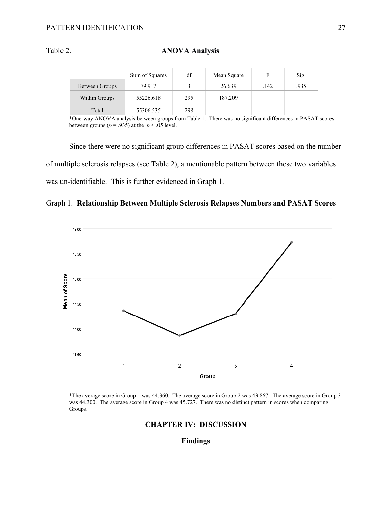#### Table 2. **ANOVA Analysis**

|                | Sum of Squares | df  | Mean Square | F    | Sig. |
|----------------|----------------|-----|-------------|------|------|
| Between Groups | 79.917         |     | 26.639      | .142 | .935 |
| Within Groups  | 55226.618      | 295 | 187.209     |      |      |
| Total          | 55306.535      | 298 |             |      |      |

\*One-way ANOVA analysis between groups from Table 1. There was no significant differences in PASAT scores between groups ( $p = .935$ ) at the  $p < .05$  level.

Since there were no significant group differences in PASAT scores based on the number of multiple sclerosis relapses (see Table 2), a mentionable pattern between these two variables was un-identifiable. This is further evidenced in Graph 1.





\*The average score in Group 1 was 44.360. The average score in Group 2 was 43.867. The average score in Group 3 was 44.300. The average score in Group 4 was 45.727. There was no distinct pattern in scores when comparing Groups.

#### **CHAPTER IV: DISCUSSION**

#### **Findings**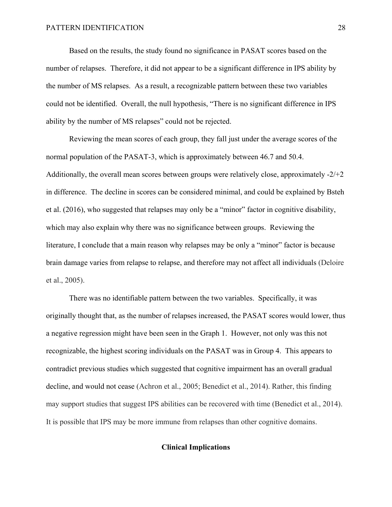Based on the results, the study found no significance in PASAT scores based on the number of relapses. Therefore, it did not appear to be a significant difference in IPS ability by the number of MS relapses. As a result, a recognizable pattern between these two variables could not be identified. Overall, the null hypothesis, "There is no significant difference in IPS ability by the number of MS relapses" could not be rejected.

Reviewing the mean scores of each group, they fall just under the average scores of the normal population of the PASAT-3, which is approximately between 46.7 and 50.4. Additionally, the overall mean scores between groups were relatively close, approximately -2/+2 in difference. The decline in scores can be considered minimal, and could be explained by Bsteh et al. (2016), who suggested that relapses may only be a "minor" factor in cognitive disability, which may also explain why there was no significance between groups. Reviewing the literature, I conclude that a main reason why relapses may be only a "minor" factor is because brain damage varies from relapse to relapse, and therefore may not affect all individuals (Deloire et al., 2005).

There was no identifiable pattern between the two variables. Specifically, it was originally thought that, as the number of relapses increased, the PASAT scores would lower, thus a negative regression might have been seen in the Graph 1. However, not only was this not recognizable, the highest scoring individuals on the PASAT was in Group 4. This appears to contradict previous studies which suggested that cognitive impairment has an overall gradual decline, and would not cease (Achron et al., 2005; Benedict et al., 2014). Rather, this finding may support studies that suggest IPS abilities can be recovered with time (Benedict et al., 2014). It is possible that IPS may be more immune from relapses than other cognitive domains.

#### **Clinical Implications**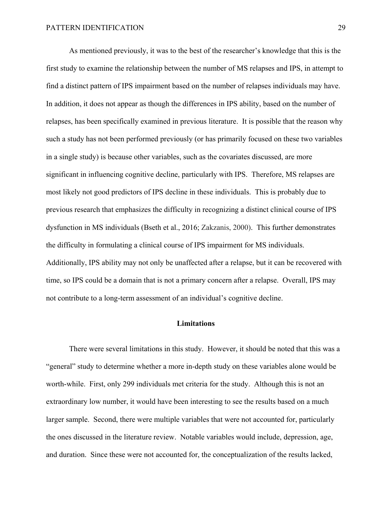As mentioned previously, it was to the best of the researcher's knowledge that this is the first study to examine the relationship between the number of MS relapses and IPS, in attempt to find a distinct pattern of IPS impairment based on the number of relapses individuals may have. In addition, it does not appear as though the differences in IPS ability, based on the number of relapses, has been specifically examined in previous literature. It is possible that the reason why such a study has not been performed previously (or has primarily focused on these two variables in a single study) is because other variables, such as the covariates discussed, are more significant in influencing cognitive decline, particularly with IPS. Therefore, MS relapses are most likely not good predictors of IPS decline in these individuals. This is probably due to previous research that emphasizes the difficulty in recognizing a distinct clinical course of IPS dysfunction in MS individuals (Bseth et al., 2016; Zakzanis, 2000). This further demonstrates the difficulty in formulating a clinical course of IPS impairment for MS individuals. Additionally, IPS ability may not only be unaffected after a relapse, but it can be recovered with time, so IPS could be a domain that is not a primary concern after a relapse. Overall, IPS may not contribute to a long-term assessment of an individual's cognitive decline.

#### **Limitations**

There were several limitations in this study. However, it should be noted that this was a "general" study to determine whether a more in-depth study on these variables alone would be worth-while. First, only 299 individuals met criteria for the study. Although this is not an extraordinary low number, it would have been interesting to see the results based on a much larger sample. Second, there were multiple variables that were not accounted for, particularly the ones discussed in the literature review. Notable variables would include, depression, age, and duration. Since these were not accounted for, the conceptualization of the results lacked,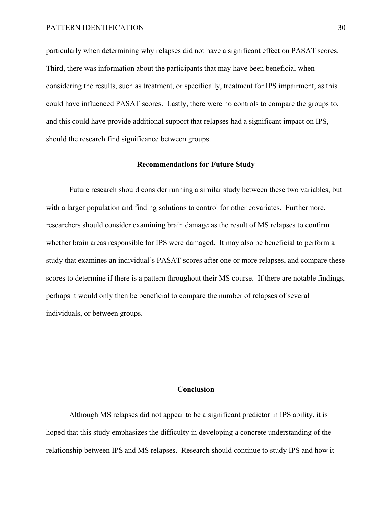particularly when determining why relapses did not have a significant effect on PASAT scores. Third, there was information about the participants that may have been beneficial when considering the results, such as treatment, or specifically, treatment for IPS impairment, as this could have influenced PASAT scores. Lastly, there were no controls to compare the groups to, and this could have provide additional support that relapses had a significant impact on IPS, should the research find significance between groups.

#### **Recommendations for Future Study**

Future research should consider running a similar study between these two variables, but with a larger population and finding solutions to control for other covariates. Furthermore, researchers should consider examining brain damage as the result of MS relapses to confirm whether brain areas responsible for IPS were damaged. It may also be beneficial to perform a study that examines an individual's PASAT scores after one or more relapses, and compare these scores to determine if there is a pattern throughout their MS course. If there are notable findings, perhaps it would only then be beneficial to compare the number of relapses of several individuals, or between groups.

#### **Conclusion**

Although MS relapses did not appear to be a significant predictor in IPS ability, it is hoped that this study emphasizes the difficulty in developing a concrete understanding of the relationship between IPS and MS relapses. Research should continue to study IPS and how it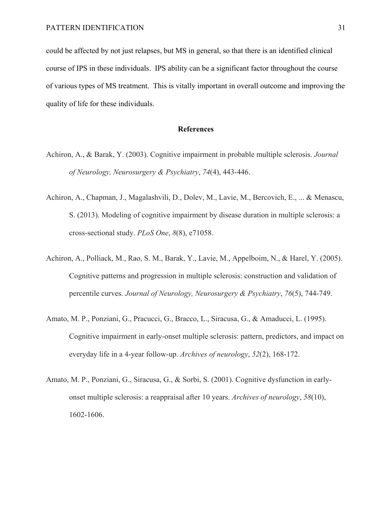could be affected by not just relapses, but MS in general, so that there is an identified clinical course of IPS in these individuals. IPS ability can be a significant factor throughout the course of various types of MS treatment. This is vitally important in overall outcome and improving the quality of life for these individuals.

#### **References**

- Achiron, A., & Barak, Y. (2003). Cognitive impairment in probable multiple sclerosis. *Journal of Neurology, Neurosurgery & Psychiatry*, *74*(4), 443-446.
- Achiron, A., Chapman, J., Magalashvili, D., Dolev, M., Lavie, M., Bercovich, E., ... & Menascu, S. (2013). Modeling of cognitive impairment by disease duration in multiple sclerosis: a cross-sectional study. *PLoS One*, *8*(8), e71058.
- Achiron, A., Polliack, M., Rao, S. M., Barak, Y., Lavie, M., Appelboim, N., & Harel, Y. (2005). Cognitive patterns and progression in multiple sclerosis: construction and validation of percentile curves. *Journal of Neurology, Neurosurgery & Psychiatry*, *76*(5), 744-749.
- Amato, M. P., Ponziani, G., Pracucci, G., Bracco, L., Siracusa, G., & Amaducci, L. (1995). Cognitive impairment in early-onset multiple sclerosis: pattern, predictors, and impact on everyday life in a 4-year follow-up. *Archives of neurology*, *52*(2), 168-172.
- Amato, M. P., Ponziani, G., Siracusa, G., & Sorbi, S. (2001). Cognitive dysfunction in earlyonset multiple sclerosis: a reappraisal after 10 years. *Archives of neurology*, *58*(10), 1602-1606.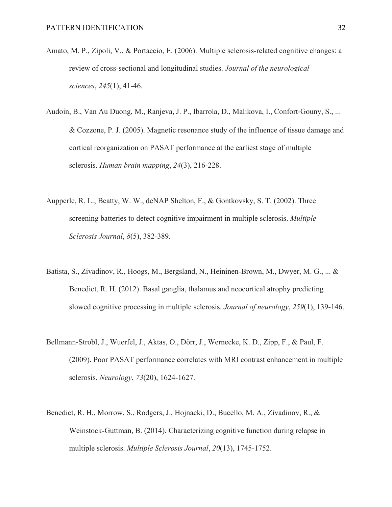- Amato, M. P., Zipoli, V., & Portaccio, E. (2006). Multiple sclerosis-related cognitive changes: a review of cross-sectional and longitudinal studies. *Journal of the neurological sciences*, *245*(1), 41-46.
- Audoin, B., Van Au Duong, M., Ranjeva, J. P., Ibarrola, D., Malikova, I., Confort‐Gouny, S., ... & Cozzone, P. J. (2005). Magnetic resonance study of the influence of tissue damage and cortical reorganization on PASAT performance at the earliest stage of multiple sclerosis. *Human brain mapping*, *24*(3), 216-228.
- Aupperle, R. L., Beatty, W. W., deNAP Shelton, F., & Gontkovsky, S. T. (2002). Three screening batteries to detect cognitive impairment in multiple sclerosis. *Multiple Sclerosis Journal*, *8*(5), 382-389.
- Batista, S., Zivadinov, R., Hoogs, M., Bergsland, N., Heininen-Brown, M., Dwyer, M. G., ... & Benedict, R. H. (2012). Basal ganglia, thalamus and neocortical atrophy predicting slowed cognitive processing in multiple sclerosis. *Journal of neurology*, *259*(1), 139-146.
- Bellmann-Strobl, J., Wuerfel, J., Aktas, O., Dörr, J., Wernecke, K. D., Zipp, F., & Paul, F. (2009). Poor PASAT performance correlates with MRI contrast enhancement in multiple sclerosis. *Neurology*, *73*(20), 1624-1627.
- Benedict, R. H., Morrow, S., Rodgers, J., Hojnacki, D., Bucello, M. A., Zivadinov, R., & Weinstock-Guttman, B. (2014). Characterizing cognitive function during relapse in multiple sclerosis. *Multiple Sclerosis Journal*, *20*(13), 1745-1752.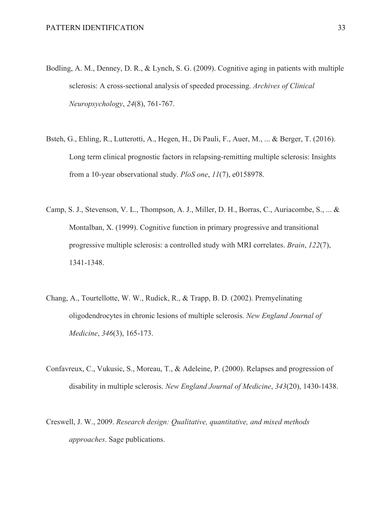- Bodling, A. M., Denney, D. R., & Lynch, S. G. (2009). Cognitive aging in patients with multiple sclerosis: A cross-sectional analysis of speeded processing. *Archives of Clinical Neuropsychology*, *24*(8), 761-767.
- Bsteh, G., Ehling, R., Lutterotti, A., Hegen, H., Di Pauli, F., Auer, M., ... & Berger, T. (2016). Long term clinical prognostic factors in relapsing-remitting multiple sclerosis: Insights from a 10-year observational study. *PloS one*, *11*(7), e0158978.
- Camp, S. J., Stevenson, V. L., Thompson, A. J., Miller, D. H., Borras, C., Auriacombe, S., ... & Montalban, X. (1999). Cognitive function in primary progressive and transitional progressive multiple sclerosis: a controlled study with MRI correlates. *Brain*, *122*(7), 1341-1348.
- Chang, A., Tourtellotte, W. W., Rudick, R., & Trapp, B. D. (2002). Premyelinating oligodendrocytes in chronic lesions of multiple sclerosis. *New England Journal of Medicine*, *346*(3), 165-173.
- Confavreux, C., Vukusic, S., Moreau, T., & Adeleine, P. (2000). Relapses and progression of disability in multiple sclerosis. *New England Journal of Medicine*, *343*(20), 1430-1438.
- Creswell, J. W., 2009. *Research design: Qualitative, quantitative, and mixed methods approaches*. Sage publications.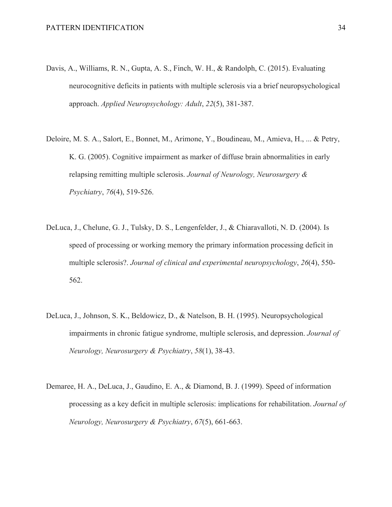- Davis, A., Williams, R. N., Gupta, A. S., Finch, W. H., & Randolph, C. (2015). Evaluating neurocognitive deficits in patients with multiple sclerosis via a brief neuropsychological approach. *Applied Neuropsychology: Adult*, *22*(5), 381-387.
- Deloire, M. S. A., Salort, E., Bonnet, M., Arimone, Y., Boudineau, M., Amieva, H., ... & Petry, K. G. (2005). Cognitive impairment as marker of diffuse brain abnormalities in early relapsing remitting multiple sclerosis. *Journal of Neurology, Neurosurgery & Psychiatry*, *76*(4), 519-526.
- DeLuca, J., Chelune, G. J., Tulsky, D. S., Lengenfelder, J., & Chiaravalloti, N. D. (2004). Is speed of processing or working memory the primary information processing deficit in multiple sclerosis?. *Journal of clinical and experimental neuropsychology*, *26*(4), 550- 562.
- DeLuca, J., Johnson, S. K., Beldowicz, D., & Natelson, B. H. (1995). Neuropsychological impairments in chronic fatigue syndrome, multiple sclerosis, and depression. *Journal of Neurology, Neurosurgery & Psychiatry*, *58*(1), 38-43.
- Demaree, H. A., DeLuca, J., Gaudino, E. A., & Diamond, B. J. (1999). Speed of information processing as a key deficit in multiple sclerosis: implications for rehabilitation. *Journal of Neurology, Neurosurgery & Psychiatry*, *67*(5), 661-663.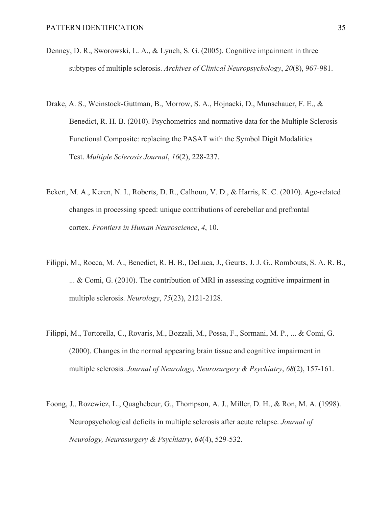- Denney, D. R., Sworowski, L. A., & Lynch, S. G. (2005). Cognitive impairment in three subtypes of multiple sclerosis. *Archives of Clinical Neuropsychology*, *20*(8), 967-981.
- Drake, A. S., Weinstock-Guttman, B., Morrow, S. A., Hojnacki, D., Munschauer, F. E., & Benedict, R. H. B. (2010). Psychometrics and normative data for the Multiple Sclerosis Functional Composite: replacing the PASAT with the Symbol Digit Modalities Test. *Multiple Sclerosis Journal*, *16*(2), 228-237.
- Eckert, M. A., Keren, N. I., Roberts, D. R., Calhoun, V. D., & Harris, K. C. (2010). Age-related changes in processing speed: unique contributions of cerebellar and prefrontal cortex. *Frontiers in Human Neuroscience*, *4*, 10.
- Filippi, M., Rocca, M. A., Benedict, R. H. B., DeLuca, J., Geurts, J. J. G., Rombouts, S. A. R. B., ... & Comi, G. (2010). The contribution of MRI in assessing cognitive impairment in multiple sclerosis. *Neurology*, *75*(23), 2121-2128.
- Filippi, M., Tortorella, C., Rovaris, M., Bozzali, M., Possa, F., Sormani, M. P., ... & Comi, G. (2000). Changes in the normal appearing brain tissue and cognitive impairment in multiple sclerosis. *Journal of Neurology, Neurosurgery & Psychiatry*, *68*(2), 157-161.
- Foong, J., Rozewicz, L., Quaghebeur, G., Thompson, A. J., Miller, D. H., & Ron, M. A. (1998). Neuropsychological deficits in multiple sclerosis after acute relapse. *Journal of Neurology, Neurosurgery & Psychiatry*, *64*(4), 529-532.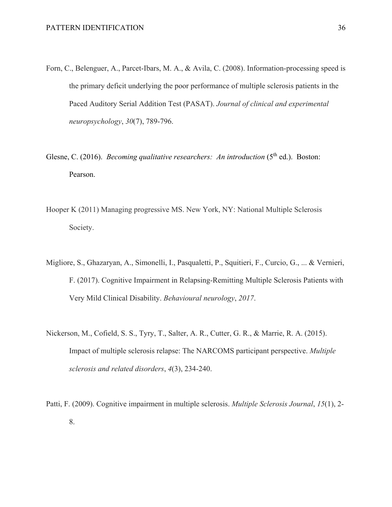- Forn, C., Belenguer, A., Parcet-Ibars, M. A., & Avila, C. (2008). Information-processing speed is the primary deficit underlying the poor performance of multiple sclerosis patients in the Paced Auditory Serial Addition Test (PASAT). *Journal of clinical and experimental neuropsychology*, *30*(7), 789-796.
- Glesne, C. (2016). *Becoming qualitative researchers: An introduction* (5<sup>th</sup> ed.). Boston: Pearson.
- Hooper K (2011) Managing progressive MS. New York, NY: National Multiple Sclerosis Society.
- Migliore, S., Ghazaryan, A., Simonelli, I., Pasqualetti, P., Squitieri, F., Curcio, G., ... & Vernieri, F. (2017). Cognitive Impairment in Relapsing-Remitting Multiple Sclerosis Patients with Very Mild Clinical Disability. *Behavioural neurology*, *2017*.
- Nickerson, M., Cofield, S. S., Tyry, T., Salter, A. R., Cutter, G. R., & Marrie, R. A. (2015). Impact of multiple sclerosis relapse: The NARCOMS participant perspective. *Multiple sclerosis and related disorders*, *4*(3), 234-240.
- Patti, F. (2009). Cognitive impairment in multiple sclerosis. *Multiple Sclerosis Journal*, *15*(1), 2- 8.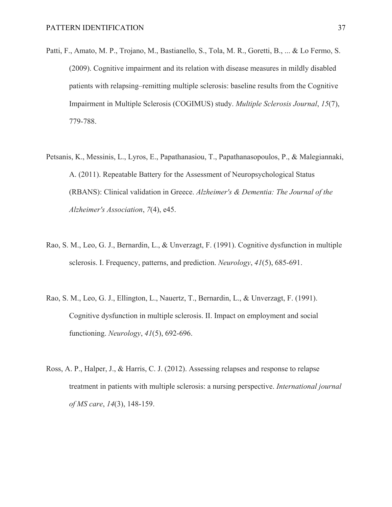- Patti, F., Amato, M. P., Trojano, M., Bastianello, S., Tola, M. R., Goretti, B., ... & Lo Fermo, S. (2009). Cognitive impairment and its relation with disease measures in mildly disabled patients with relapsing–remitting multiple sclerosis: baseline results from the Cognitive Impairment in Multiple Sclerosis (COGIMUS) study. *Multiple Sclerosis Journal*, *15*(7), 779-788.
- Petsanis, K., Messinis, L., Lyros, E., Papathanasiou, T., Papathanasopoulos, P., & Malegiannaki, A. (2011). Repeatable Battery for the Assessment of Neuropsychological Status (RBANS): Clinical validation in Greece. *Alzheimer's & Dementia: The Journal of the Alzheimer's Association*, *7*(4), e45.
- Rao, S. M., Leo, G. J., Bernardin, L., & Unverzagt, F. (1991). Cognitive dysfunction in multiple sclerosis. I. Frequency, patterns, and prediction. *Neurology*, *41*(5), 685-691.
- Rao, S. M., Leo, G. J., Ellington, L., Nauertz, T., Bernardin, L., & Unverzagt, F. (1991). Cognitive dysfunction in multiple sclerosis. II. Impact on employment and social functioning. *Neurology*, *41*(5), 692-696.
- Ross, A. P., Halper, J., & Harris, C. J. (2012). Assessing relapses and response to relapse treatment in patients with multiple sclerosis: a nursing perspective. *International journal of MS care*, *14*(3), 148-159.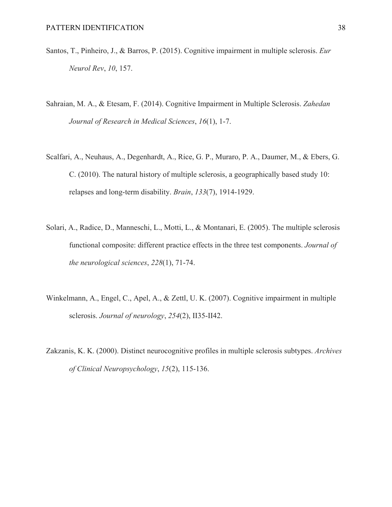- Santos, T., Pinheiro, J., & Barros, P. (2015). Cognitive impairment in multiple sclerosis. *Eur Neurol Rev*, *10*, 157.
- Sahraian, M. A., & Etesam, F. (2014). Cognitive Impairment in Multiple Sclerosis. *Zahedan Journal of Research in Medical Sciences*, *16*(1), 1-7.
- Scalfari, A., Neuhaus, A., Degenhardt, A., Rice, G. P., Muraro, P. A., Daumer, M., & Ebers, G. C. (2010). The natural history of multiple sclerosis, a geographically based study 10: relapses and long-term disability. *Brain*, *133*(7), 1914-1929.
- Solari, A., Radice, D., Manneschi, L., Motti, L., & Montanari, E. (2005). The multiple sclerosis functional composite: different practice effects in the three test components. *Journal of the neurological sciences*, *228*(1), 71-74.
- Winkelmann, A., Engel, C., Apel, A., & Zettl, U. K. (2007). Cognitive impairment in multiple sclerosis. *Journal of neurology*, *254*(2), II35-II42.
- Zakzanis, K. K. (2000). Distinct neurocognitive profiles in multiple sclerosis subtypes. *Archives of Clinical Neuropsychology*, *15*(2), 115-136.